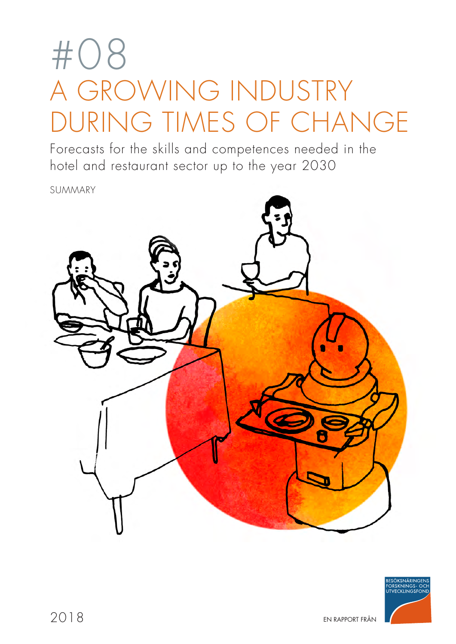# #08 A GROWING INDUSTRY DURING TIMES OF CHANGE

Forecasts for the skills and competences needed in the hotel and restaurant sector up to the year 2030

SUMMARY



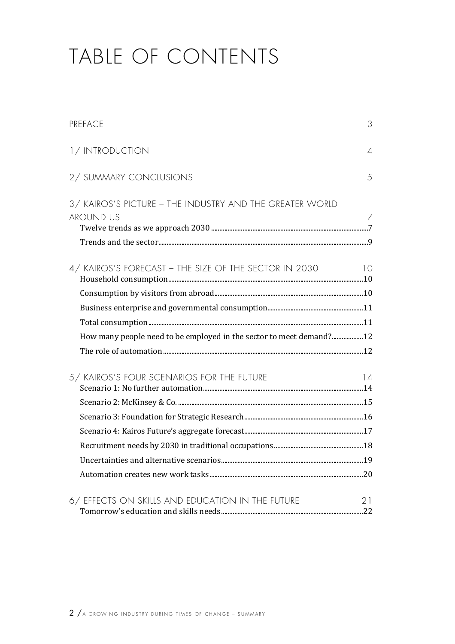# TABLE OF CONTENTS

| PREFACE                                                                      | 3              |
|------------------------------------------------------------------------------|----------------|
| 1/INTRODUCTION                                                               | $\varDelta$    |
| 2/ SUMMARY CONCLUSIONS                                                       | 5              |
| 3/ KAIROS'S PICTURE - THE INDUSTRY AND THE GREATER WORLD<br><b>AROUND US</b> | $\overline{7}$ |
| 4/ KAIROS'S FORECAST - THE SIZE OF THE SECTOR IN 2030                        | 10             |
|                                                                              |                |
|                                                                              |                |
|                                                                              |                |
| How many people need to be employed in the sector to meet demand? 12         |                |
|                                                                              |                |
| 5/ KAIROS'S FOUR SCENARIOS FOR THE FUTURE                                    | 14             |
|                                                                              |                |
|                                                                              |                |
|                                                                              |                |
|                                                                              |                |
|                                                                              |                |
| 6/ EFFECTS ON SKILLS AND EDUCATION IN THE FUTURE                             | 21             |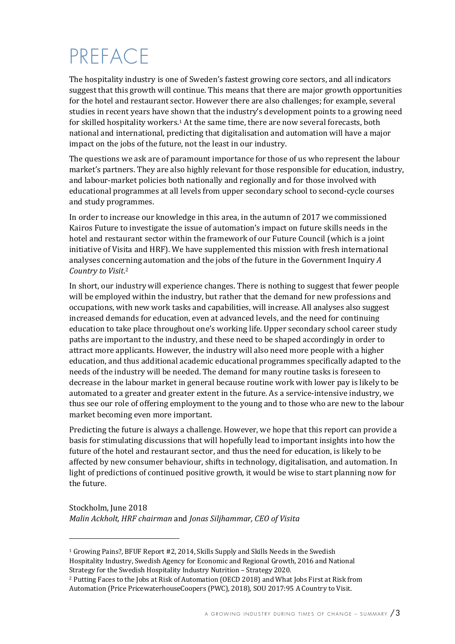# PREFACE

The hospitality industry is one of Sweden's fastest growing core sectors, and all indicators suggest that this growth will continue. This means that there are major growth opportunities for the hotel and restaurant sector. However there are also challenges; for example, several studies in recent years have shown that the industry's development points to a growing need for skilled hospitality workers.<sup>1</sup> At the same time, there are now several forecasts, both national and international, predicting that digitalisation and automation will have a major impact on the jobs of the future, not the least in our industry.

The questions we ask are of paramount importance for those of us who represent the labour market's partners. They are also highly relevant for those responsible for education, industry, and labour-market policies both nationally and regionally and for those involved with educational programmes at all levels from upper secondary school to second-cycle courses and study programmes.

In order to increase our knowledge in this area, in the autumn of 2017 we commissioned Kairos Future to investigate the issue of automation's impact on future skills needs in the hotel and restaurant sector within the framework of our Future Council (which is a joint initiative of Visita and HRF). We have supplemented this mission with fresh international analyses concerning automation and the jobs of the future in the Government Inquiry *A* Country to Visit.<sup>2</sup>

In short, our industry will experience changes. There is nothing to suggest that fewer people will be employed within the industry, but rather that the demand for new professions and occupations, with new work tasks and capabilities, will increase. All analyses also suggest increased demands for education, even at advanced levels, and the need for continuing education to take place throughout one's working life. Upper secondary school career study paths are important to the industry, and these need to be shaped accordingly in order to attract more applicants. However, the industry will also need more people with a higher education, and thus additional academic educational programmes specifically adapted to the needs of the industry will be needed. The demand for many routine tasks is foreseen to decrease in the labour market in general because routine work with lower pay is likely to be automated to a greater and greater extent in the future. As a service-intensive industry, we thus see our role of offering employment to the young and to those who are new to the labour market becoming even more important.

Predicting the future is always a challenge. However, we hope that this report can provide a basis for stimulating discussions that will hopefully lead to important insights into how the future of the hotel and restaurant sector, and thus the need for education, is likely to be affected by new consumer behaviour, shifts in technology, digitalisation, and automation. In light of predictions of continued positive growth, it would be wise to start planning now for the future.

Stockholm, June 2018 *Malin Ackholt, HRF chairman* and *Jonas Siljhammar, CEO of Visita*

 $1$  Growing Pains?, BFUF Report #2, 2014, Skills Supply and Skills Needs in the Swedish Hospitality Industry, Swedish Agency for Economic and Regional Growth, 2016 and National Strategy for the Swedish Hospitality Industry Nutrition - Strategy 2020.

<sup>&</sup>lt;sup>2</sup> Putting Faces to the Jobs at Risk of Automation (OECD 2018) and What Jobs First at Risk from Automation (Price PricewaterhouseCoopers (PWC), 2018), SOU 2017:95 A Country to Visit.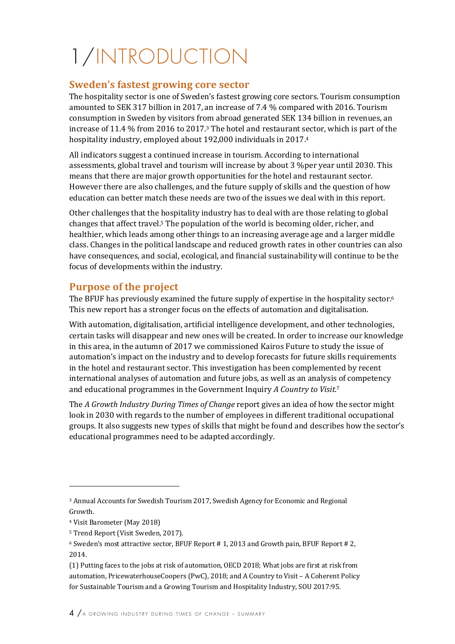# 1/INTRODUCTION

#### **Sweden's fastest growing core sector**

The hospitality sector is one of Sweden's fastest growing core sectors. Tourism consumption amounted to SEK 317 billion in 2017, an increase of 7.4 % compared with 2016. Tourism consumption in Sweden by visitors from abroad generated SEK 134 billion in revenues, an increase of 11.4  $%$  from 2016 to 2017.<sup>3</sup> The hotel and restaurant sector, which is part of the hospitality industry, employed about 192,000 individuals in 2017.4

All indicators suggest a continued increase in tourism. According to international assessments, global travel and tourism will increase by about 3 %per year until 2030. This means that there are major growth opportunities for the hotel and restaurant sector. However there are also challenges, and the future supply of skills and the question of how education can better match these needs are two of the issues we deal with in this report.

Other challenges that the hospitality industry has to deal with are those relating to global changes that affect travel.<sup>5</sup> The population of the world is becoming older, richer, and healthier, which leads among other things to an increasing average age and a larger middle class. Changes in the political landscape and reduced growth rates in other countries can also have consequences, and social, ecological, and financial sustainability will continue to be the focus of developments within the industry.

#### **Purpose of the project**

The BFUF has previously examined the future supply of expertise in the hospitality sector.<sup>6</sup> This new report has a stronger focus on the effects of automation and digitalisation.

With automation, digitalisation, artificial intelligence development, and other technologies, certain tasks will disappear and new ones will be created. In order to increase our knowledge in this area, in the autumn of 2017 we commissioned Kairos Future to study the issue of automation's impact on the industry and to develop forecasts for future skills requirements in the hotel and restaurant sector. This investigation has been complemented by recent international analyses of automation and future jobs, as well as an analysis of competency and educational programmes in the Government Inquiry *A Country to Visit.*<sup>7</sup>

The *A Growth Industry During Times of Change* report gives an idea of how the sector might look in 2030 with regards to the number of employees in different traditional occupational groups. It also suggests new types of skills that might be found and describes how the sector's educational programmes need to be adapted accordingly.

<sup>&</sup>lt;sup>3</sup> Annual Accounts for Swedish Tourism 2017, Swedish Agency for Economic and Regional Growth.

<sup>&</sup>lt;sup>4</sup> Visit Barometer (May 2018)

<sup>&</sup>lt;sup>5</sup> Trend Report (Visit Sweden, 2017).

 $6$  Sweden's most attractive sector, BFUF Report  $\# 1$ , 2013 and Growth pain, BFUF Report  $\# 2$ , 2014. 

<sup>(1)</sup> Putting faces to the jobs at risk of automation, OECD 2018; What jobs are first at risk from automation, PricewaterhouseCoopers (PwC), 2018; and A Country to Visit – A Coherent Policy for Sustainable Tourism and a Growing Tourism and Hospitality Industry, SOU 2017:95.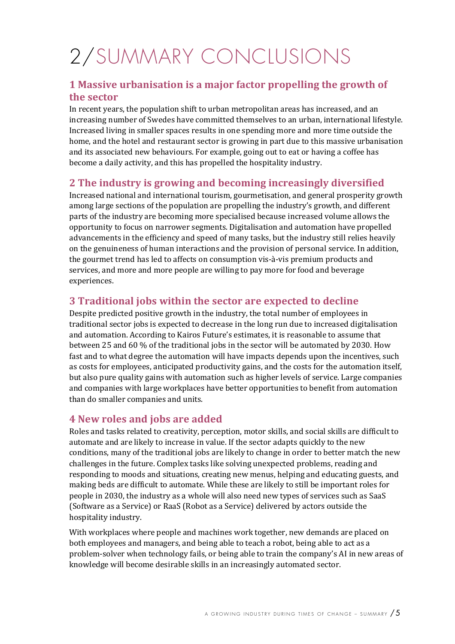# 2/SUMMARY CONCLUSIONS

#### **1 Massive urbanisation is a major factor propelling the growth of the sector**

In recent years, the population shift to urban metropolitan areas has increased, and an increasing number of Swedes have committed themselves to an urban, international lifestyle. Increased living in smaller spaces results in one spending more and more time outside the home, and the hotel and restaurant sector is growing in part due to this massive urbanisation and its associated new behaviours. For example, going out to eat or having a coffee has become a daily activity, and this has propelled the hospitality industry.

#### **2** The industry is growing and becoming increasingly diversified

Increased national and international tourism, gourmetisation, and general prosperity growth among large sections of the population are propelling the industry's growth, and different parts of the industry are becoming more specialised because increased volume allows the opportunity to focus on narrower segments. Digitalisation and automation have propelled advancements in the efficiency and speed of many tasks, but the industry still relies heavily on the genuineness of human interactions and the provision of personal service. In addition, the gourmet trend has led to affects on consumption vis-à-vis premium products and services, and more and more people are willing to pay more for food and beverage experiences.

#### **3** Traditional jobs within the sector are expected to decline

Despite predicted positive growth in the industry, the total number of employees in traditional sector jobs is expected to decrease in the long run due to increased digitalisation and automation. According to Kairos Future's estimates, it is reasonable to assume that between 25 and 60 % of the traditional jobs in the sector will be automated by 2030. How fast and to what degree the automation will have impacts depends upon the incentives, such as costs for employees, anticipated productivity gains, and the costs for the automation itself, but also pure quality gains with automation such as higher levels of service. Large companies and companies with large workplaces have better opportunities to benefit from automation than do smaller companies and units.

#### **4 New roles and jobs are added**

Roles and tasks related to creativity, perception, motor skills, and social skills are difficult to automate and are likely to increase in value. If the sector adapts quickly to the new conditions, many of the traditional jobs are likely to change in order to better match the new challenges in the future. Complex tasks like solving unexpected problems, reading and responding to moods and situations, creating new menus, helping and educating guests, and making beds are difficult to automate. While these are likely to still be important roles for people in 2030, the industry as a whole will also need new types of services such as SaaS (Software as a Service) or RaaS (Robot as a Service) delivered by actors outside the hospitality industry.

With workplaces where people and machines work together, new demands are placed on both employees and managers, and being able to teach a robot, being able to act as a problem-solver when technology fails, or being able to train the company's AI in new areas of knowledge will become desirable skills in an increasingly automated sector.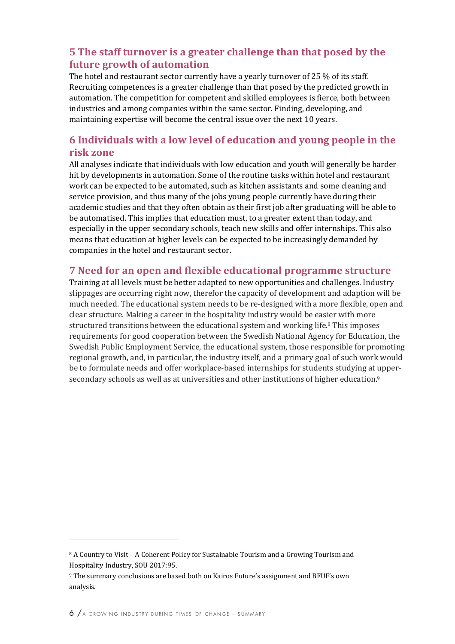#### **5** The staff turnover is a greater challenge than that posed by the **future growth of automation**

The hotel and restaurant sector currently have a yearly turnover of 25  $%$  of its staff. Recruiting competences is a greater challenge than that posed by the predicted growth in automation. The competition for competent and skilled employees is fierce, both between industries and among companies within the same sector. Finding, developing, and maintaining expertise will become the central issue over the next 10 years.

#### **6 Individuals with a low level of education and young people in the risk zone**

All analyses indicate that individuals with low education and youth will generally be harder hit by developments in automation. Some of the routine tasks within hotel and restaurant work can be expected to be automated, such as kitchen assistants and some cleaning and service provision, and thus many of the jobs young people currently have during their academic studies and that they often obtain as their first job after graduating will be able to be automatised. This implies that education must, to a greater extent than today, and especially in the upper secondary schools, teach new skills and offer internships. This also means that education at higher levels can be expected to be increasingly demanded by companies in the hotel and restaurant sector.

#### **7** Need for an open and flexible educational programme structure

Training at all levels must be better adapted to new opportunities and challenges. Industry slippages are occurring right now, therefor the capacity of development and adaption will be much needed. The educational system needs to be re-designed with a more flexible, open and clear structure. Making a career in the hospitality industry would be easier with more structured transitions between the educational system and working life.<sup>8</sup> This imposes requirements for good cooperation between the Swedish National Agency for Education, the Swedish Public Employment Service, the educational system, those responsible for promoting regional growth, and, in particular, the industry itself, and a primary goal of such work would be to formulate needs and offer workplace-based internships for students studying at uppersecondary schools as well as at universities and other institutions of higher education.<sup>9</sup>

<u> 1989 - Johann Stein, marwolaethau a bh</u>

<sup>&</sup>lt;sup>8</sup> A Country to Visit – A Coherent Policy for Sustainable Tourism and a Growing Tourism and Hospitality Industry, SOU 2017:95.

<sup>&</sup>lt;sup>9</sup> The summary conclusions are based both on Kairos Future's assignment and BFUF's own analysis.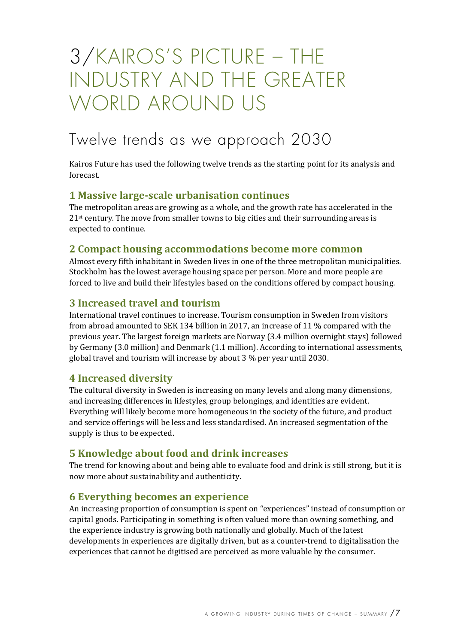## 3/KAIROS'S PICTURE – THE INDUSTRY AND THE GREATER WORLD AROUND US

### Twelve trends as we approach 2030

Kairos Future has used the following twelve trends as the starting point for its analysis and forecast. 

#### **1 Massive large-scale urbanisation continues**

The metropolitan areas are growing as a whole, and the growth rate has accelerated in the  $21$ <sup>st</sup> century. The move from smaller towns to big cities and their surrounding areas is expected to continue.

#### **2 Compact housing accommodations become more common**

Almost every fifth inhabitant in Sweden lives in one of the three metropolitan municipalities. Stockholm has the lowest average housing space per person. More and more people are forced to live and build their lifestyles based on the conditions offered by compact housing.

#### **3 Increased travel and tourism**

International travel continues to increase. Tourism consumption in Sweden from visitors from abroad amounted to SEK 134 billion in 2017, an increase of 11  $%$  compared with the previous year. The largest foreign markets are Norway (3.4 million overnight stays) followed by Germany (3.0 million) and Denmark (1.1 million). According to international assessments, global travel and tourism will increase by about 3 % per year until 2030.

#### **4 Increased diversity**

The cultural diversity in Sweden is increasing on many levels and along many dimensions, and increasing differences in lifestyles, group belongings, and identities are evident. Everything will likely become more homogeneous in the society of the future, and product and service offerings will be less and less standardised. An increased segmentation of the supply is thus to be expected.

#### **5 Knowledge about food and drink increases**

The trend for knowing about and being able to evaluate food and drink is still strong, but it is now more about sustainability and authenticity.

#### **6** Everything becomes an experience

An increasing proportion of consumption is spent on "experiences" instead of consumption or capital goods. Participating in something is often valued more than owning something, and the experience industry is growing both nationally and globally. Much of the latest developments in experiences are digitally driven, but as a counter-trend to digitalisation the experiences that cannot be digitised are perceived as more valuable by the consumer.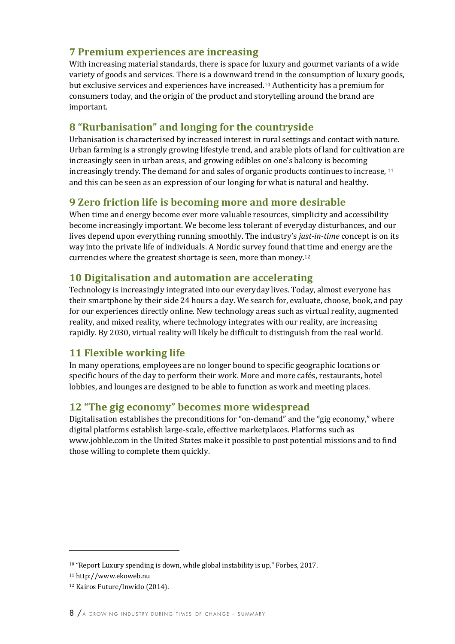#### **7 Premium experiences are increasing**

With increasing material standards, there is space for luxury and gourmet variants of a wide variety of goods and services. There is a downward trend in the consumption of luxury goods, but exclusive services and experiences have increased.<sup>10</sup> Authenticity has a premium for consumers today, and the origin of the product and storytelling around the brand are important.

#### **8** "Rurbanisation" and longing for the countryside

Urbanisation is characterised by increased interest in rural settings and contact with nature. Urban farming is a strongly growing lifestyle trend, and arable plots of land for cultivation are increasingly seen in urban areas, and growing edibles on one's balcony is becoming increasingly trendy. The demand for and sales of organic products continues to increase,  $11$ and this can be seen as an expression of our longing for what is natural and healthy.

#### **9 Zero friction life is becoming more and more desirable**

When time and energy become ever more valuable resources, simplicity and accessibility become increasingly important. We become less tolerant of everyday disturbances, and our lives depend upon everything running smoothly. The industry's *just-in-time* concept is on its way into the private life of individuals. A Nordic survey found that time and energy are the currencies where the greatest shortage is seen, more than money.<sup>12</sup>

#### **10 Digitalisation and automation are accelerating**

Technology is increasingly integrated into our everyday lives. Today, almost everyone has their smartphone by their side 24 hours a day. We search for, evaluate, choose, book, and pay for our experiences directly online. New technology areas such as virtual reality, augmented reality, and mixed reality, where technology integrates with our reality, are increasing rapidly. By 2030, virtual reality will likely be difficult to distinguish from the real world.

#### **11 Flexible working life**

In many operations, employees are no longer bound to specific geographic locations or specific hours of the day to perform their work. More and more cafés, restaurants, hotel lobbies, and lounges are designed to be able to function as work and meeting places.

#### **12** "The gig economy" becomes more widespread

Digitalisation establishes the preconditions for "on-demand" and the "gig economy," where digital platforms establish large-scale, effective marketplaces. Platforms such as www.jobble.com in the United States make it possible to post potential missions and to find those willing to complete them quickly.

 $10$  "Report Luxury spending is down, while global instability is up," Forbes, 2017.

<sup>11</sup> http://www.ekoweb.nu

<sup>&</sup>lt;sup>12</sup> Kairos Future/Inwido (2014).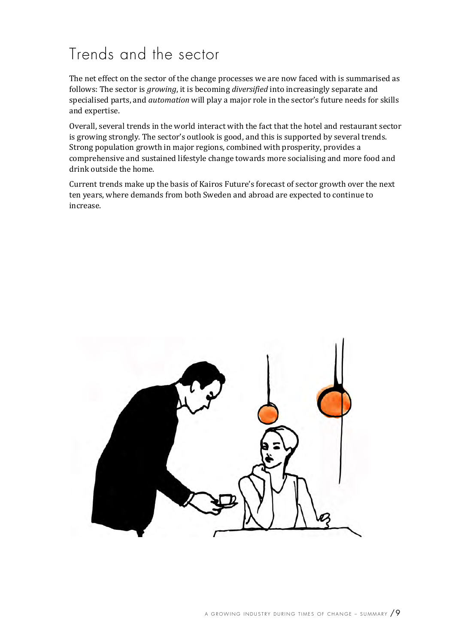### Trends and the sector

The net effect on the sector of the change processes we are now faced with is summarised as follows: The sector is *growing*, it is becoming *diversified* into increasingly separate and specialised parts, and *automation* will play a major role in the sector's future needs for skills and expertise.

Overall, several trends in the world interact with the fact that the hotel and restaurant sector is growing strongly. The sector's outlook is good, and this is supported by several trends. Strong population growth in major regions, combined with prosperity, provides a comprehensive and sustained lifestyle change towards more socialising and more food and drink outside the home.

Current trends make up the basis of Kairos Future's forecast of sector growth over the next ten years, where demands from both Sweden and abroad are expected to continue to increase. 

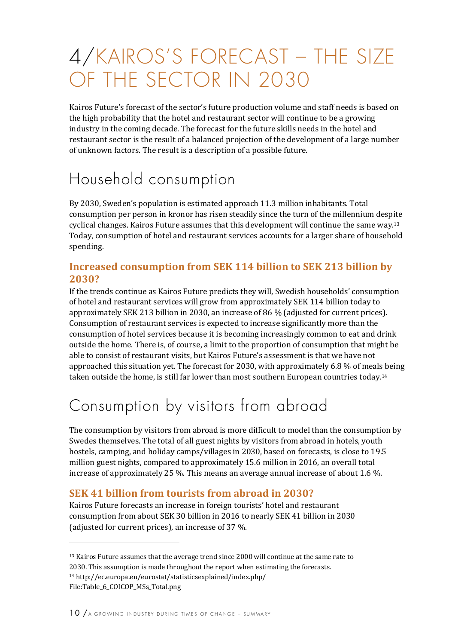# 4/KAIROS'S FORECAST – THE SIZE OF THE SECTOR IN 2030

Kairos Future's forecast of the sector's future production volume and staff needs is based on the high probability that the hotel and restaurant sector will continue to be a growing industry in the coming decade. The forecast for the future skills needs in the hotel and restaurant sector is the result of a balanced projection of the development of a large number of unknown factors. The result is a description of a possible future.

### Household consumption

By 2030, Sweden's population is estimated approach 11.3 million inhabitants. Total consumption per person in kronor has risen steadily since the turn of the millennium despite cyclical changes. Kairos Future assumes that this development will continue the same way.<sup>13</sup> Today, consumption of hotel and restaurant services accounts for a larger share of household spending.

#### **Increased consumption from SEK 114 billion to SEK 213 billion by 2030?**

If the trends continue as Kairos Future predicts they will, Swedish households' consumption of hotel and restaurant services will grow from approximately SEK 114 billion today to approximately SEK 213 billion in 2030, an increase of 86 % (adjusted for current prices). Consumption of restaurant services is expected to increase significantly more than the consumption of hotel services because it is becoming increasingly common to eat and drink outside the home. There is, of course, a limit to the proportion of consumption that might be able to consist of restaurant visits, but Kairos Future's assessment is that we have not approached this situation yet. The forecast for 2030, with approximately 6.8  $%$  of meals being taken outside the home, is still far lower than most southern European countries today.<sup>14</sup>

### Consumption by visitors from abroad

The consumption by visitors from abroad is more difficult to model than the consumption by Swedes themselves. The total of all guest nights by visitors from abroad in hotels, youth hostels, camping, and holiday camps/villages in 2030, based on forecasts, is close to 19.5 million guest nights, compared to approximately 15.6 million in 2016, an overall total increase of approximately 25 %. This means an average annual increase of about 1.6 %.

#### **SEK 41 billion from tourists from abroad in 2030?**

Kairos Future forecasts an increase in foreign tourists' hotel and restaurant consumption from about SEK 30 billion in 2016 to nearly SEK 41 billion in 2030 (adjusted for current prices), an increase of 37 %.

 $13$  Kairos Future assumes that the average trend since 2000 will continue at the same rate to 2030. This assumption is made throughout the report when estimating the forecasts. <sup>14</sup> http://ec.europa.eu/eurostat/statisticsexplained/index.php/

File:Table\_6\_COICOP\_MSs\_Total.png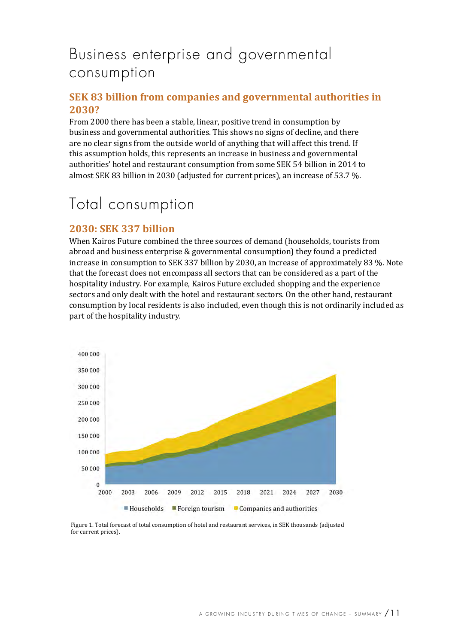### Business enterprise and governmental consumption

#### **SEK 83 billion from companies and governmental authorities in 2030?**

From 2000 there has been a stable, linear, positive trend in consumption by business and governmental authorities. This shows no signs of decline, and there are no clear signs from the outside world of anything that will affect this trend. If this assumption holds, this represents an increase in business and governmental authorities' hotel and restaurant consumption from some SEK 54 billion in 2014 to almost SEK 83 billion in 2030 (adjusted for current prices), an increase of 53.7 %.

### Total consumption

#### **2030: SEK 337 billion**

When Kairos Future combined the three sources of demand (households, tourists from abroad and business enterprise  $&$  governmental consumption) they found a predicted increase in consumption to SEK 337 billion by 2030, an increase of approximately 83 %. Note that the forecast does not encompass all sectors that can be considered as a part of the hospitality industry. For example, Kairos Future excluded shopping and the experience sectors and only dealt with the hotel and restaurant sectors. On the other hand, restaurant consumption by local residents is also included, even though this is not ordinarily included as part of the hospitality industry.



Figure 1. Total forecast of total consumption of hotel and restaurant services, in SEK thousands (adjusted for current prices).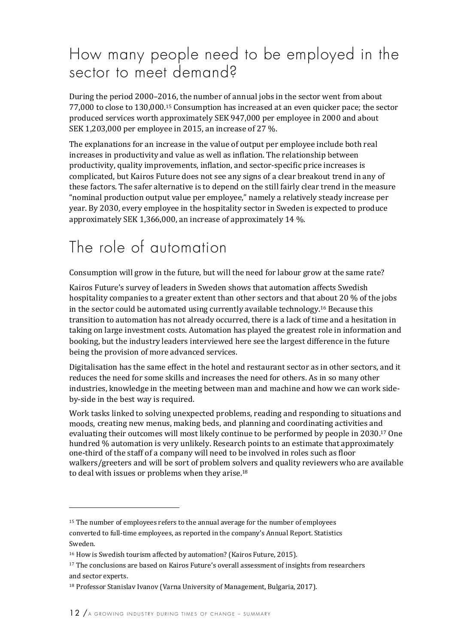### How many people need to be employed in the sector to meet demand?

During the period 2000–2016, the number of annual jobs in the sector went from about 77,000 to close to 130,000.<sup>15</sup> Consumption has increased at an even quicker pace; the sector produced services worth approximately SEK 947,000 per employee in 2000 and about SEK 1,203,000 per employee in 2015, an increase of 27 %.

The explanations for an increase in the value of output per employee include both real increases in productivity and value as well as inflation. The relationship between productivity, quality improvements, inflation, and sector-specific price increases is complicated, but Kairos Future does not see any signs of a clear breakout trend in any of these factors. The safer alternative is to depend on the still fairly clear trend in the measure "nominal production output value per employee," namely a relatively steady increase per year. By 2030, every employee in the hospitality sector in Sweden is expected to produce approximately SEK 1,366,000, an increase of approximately 14 %.

### The role of automation

Consumption will grow in the future, but will the need for labour grow at the same rate?

Kairos Future's survey of leaders in Sweden shows that automation affects Swedish hospitality companies to a greater extent than other sectors and that about 20 % of the jobs in the sector could be automated using currently available technology.<sup>16</sup> Because this transition to automation has not already occurred, there is a lack of time and a hesitation in taking on large investment costs. Automation has played the greatest role in information and booking, but the industry leaders interviewed here see the largest difference in the future being the provision of more advanced services.

Digitalisation has the same effect in the hotel and restaurant sector as in other sectors, and it reduces the need for some skills and increases the need for others. As in so many other industries, knowledge in the meeting between man and machine and how we can work sideby-side in the best way is required.

Work tasks linked to solving unexpected problems, reading and responding to situations and moods, creating new menus, making beds, and planning and coordinating activities and evaluating their outcomes will most likely continue to be performed by people in 2030.<sup>17</sup> One hundred % automation is very unlikely. Research points to an estimate that approximately one-third of the staff of a company will need to be involved in roles such as floor walkers/greeters and will be sort of problem solvers and quality reviewers who are available to deal with issues or problems when they arise.<sup>18</sup>

 $15$  The number of employees refers to the annual average for the number of employees converted to full-time employees, as reported in the company's Annual Report. Statistics Sweden.

<sup>&</sup>lt;sup>16</sup> How is Swedish tourism affected by automation? (Kairos Future, 2015).

<sup>&</sup>lt;sup>17</sup> The conclusions are based on Kairos Future's overall assessment of insights from researchers and sector experts.

 $18$  Professor Stanislav Ivanov (Varna University of Management, Bulgaria, 2017).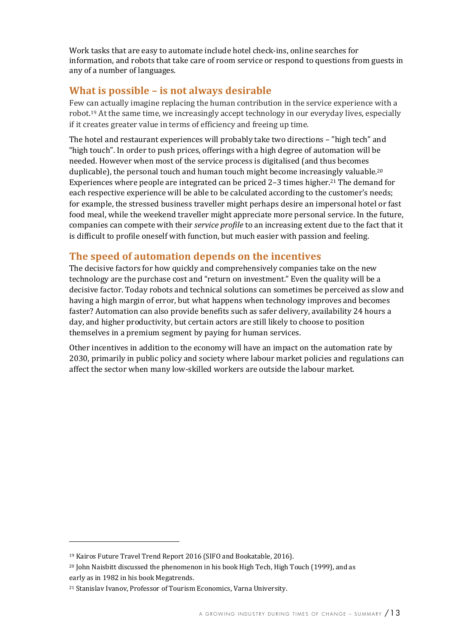Work tasks that are easy to automate include hotel check-ins, online searches for information, and robots that take care of room service or respond to questions from guests in any of a number of languages.

#### **What is possible - is not always desirable**

Few can actually imagine replacing the human contribution in the service experience with a robot.<sup>19</sup> At the same time, we increasingly accept technology in our everyday lives, especially if it creates greater value in terms of efficiency and freeing up time.

The hotel and restaurant experiences will probably take two directions – "high tech" and "high touch". In order to push prices, offerings with a high degree of automation will be needed. However when most of the service process is digitalised (and thus becomes duplicable), the personal touch and human touch might become increasingly valuable.<sup>20</sup> Experiences where people are integrated can be priced 2–3 times higher.<sup>21</sup> The demand for each respective experience will be able to be calculated according to the customer's needs; for example, the stressed business traveller might perhaps desire an impersonal hotel or fast food meal, while the weekend traveller might appreciate more personal service. In the future, companies can compete with their *service profile* to an increasing extent due to the fact that it is difficult to profile oneself with function, but much easier with passion and feeling.

#### The speed of automation depends on the incentives

The decisive factors for how quickly and comprehensively companies take on the new technology are the purchase cost and "return on investment." Even the quality will be a decisive factor. Today robots and technical solutions can sometimes be perceived as slow and having a high margin of error, but what happens when technology improves and becomes faster? Automation can also provide benefits such as safer delivery, availability 24 hours a day, and higher productivity, but certain actors are still likely to choose to position themselves in a premium segment by paying for human services.

Other incentives in addition to the economy will have an impact on the automation rate by 2030, primarily in public policy and society where labour market policies and regulations can affect the sector when many low-skilled workers are outside the labour market.

<sup>&</sup>lt;sup>19</sup> Kairos Future Travel Trend Report 2016 (SIFO and Bookatable, 2016).

 $20$  John Naisbitt discussed the phenomenon in his book High Tech, High Touch (1999), and as

early as in 1982 in his book Megatrends.

<sup>&</sup>lt;sup>21</sup> Stanislav Ivanov, Professor of Tourism Economics, Varna University.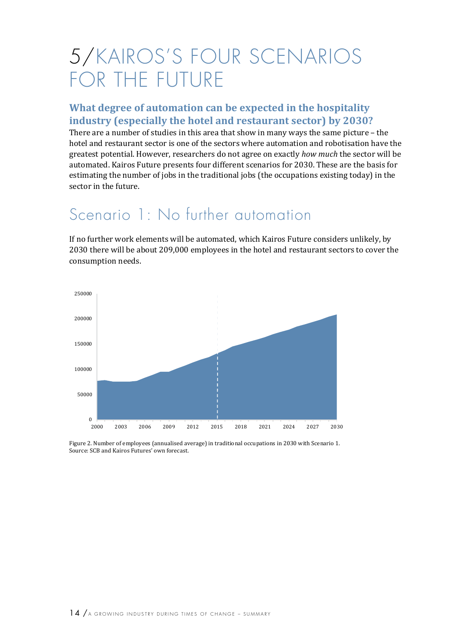# 5/KAIROS'S FOUR SCENARIOS FOR THE FUTURE

#### **What degree of automation can be expected in the hospitality industry (especially the hotel and restaurant sector) by 2030?**

There are a number of studies in this area that show in many ways the same picture – the hotel and restaurant sector is one of the sectors where automation and robotisation have the greatest potential. However, researchers do not agree on exactly *how much* the sector will be automated. Kairos Future presents four different scenarios for 2030. These are the basis for estimating the number of jobs in the traditional jobs (the occupations existing today) in the sector in the future.

### Scenario 1: No further automation

If no further work elements will be automated, which Kairos Future considers unlikely, by 2030 there will be about 209,000 employees in the hotel and restaurant sectors to cover the consumption needs.



Figure 2. Number of employees (annualised average) in traditional occupations in 2030 with Scenario 1. Source: SCB and Kairos Futures' own forecast.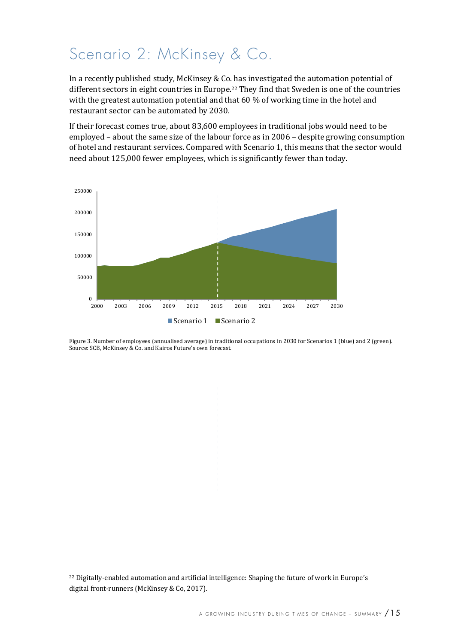### Scenario 2: McKinsey & Co.

In a recently published study, McKinsey & Co. has investigated the automation potential of different sectors in eight countries in Europe.<sup>22</sup> They find that Sweden is one of the countries with the greatest automation potential and that  $60\%$  of working time in the hotel and restaurant sector can be automated by 2030.

If their forecast comes true, about 83,600 employees in traditional jobs would need to be employed – about the same size of the labour force as in  $2006$  – despite growing consumption of hotel and restaurant services. Compared with Scenario 1, this means that the sector would need about 125,000 fewer employees, which is significantly fewer than today.



Figure 3. Number of employees (annualised average) in traditional occupations in 2030 for Scenarios 1 (blue) and 2 (green). Source: SCB, McKinsey & Co. and Kairos Future's own forecast.

<sup>&</sup>lt;sup>22</sup> Digitally-enabled automation and artificial intelligence: Shaping the future of work in Europe's digital front-runners (McKinsey & Co, 2017).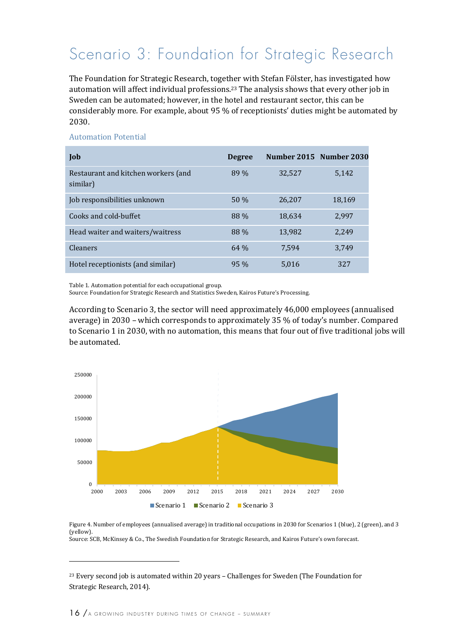### Scenario 3: Foundation for Strategic Research

The Foundation for Strategic Research, together with Stefan Fölster, has investigated how automation will affect individual professions.<sup>23</sup> The analysis shows that every other job in Sweden can be automated; however, in the hotel and restaurant sector, this can be considerably more. For example, about 95 % of receptionists' duties might be automated by 2030. 

#### Automation Potential

| Job                                             | <b>Degree</b> | Number 2015 Number 2030 |        |
|-------------------------------------------------|---------------|-------------------------|--------|
| Restaurant and kitchen workers (and<br>similar) | 89 %          | 32,527                  | 5,142  |
| Job responsibilities unknown                    | 50%           | 26.207                  | 18,169 |
| Cooks and cold-buffet                           | 88 %          | 18,634                  | 2,997  |
| Head waiter and waiters/waitress                | 88 %          | 13,982                  | 2,249  |
| <b>Cleaners</b>                                 | 64%           | 7.594                   | 3.749  |
| Hotel receptionists (and similar)               | 95 %          | 5.016                   | 327    |

Table 1. Automation potential for each occupational group.

Source: Foundation for Strategic Research and Statistics Sweden, Kairos Future's Processing.

According to Scenario 3, the sector will need approximately 46,000 employees (annualised average) in 2030 – which corresponds to approximately 35  $%$  of today's number. Compared to Scenario 1 in 2030, with no automation, this means that four out of five traditional jobs will be automated. 



Figure 4. Number of employees (annualised average) in traditional occupations in 2030 for Scenarios 1 (blue), 2 (green), and 3 (yellow). Source: SCB, McKinsey & Co., The Swedish Foundation for Strategic Research, and Kairos Future's own forecast.

 $23$  Every second job is automated within 20 years – Challenges for Sweden (The Foundation for Strategic Research, 2014).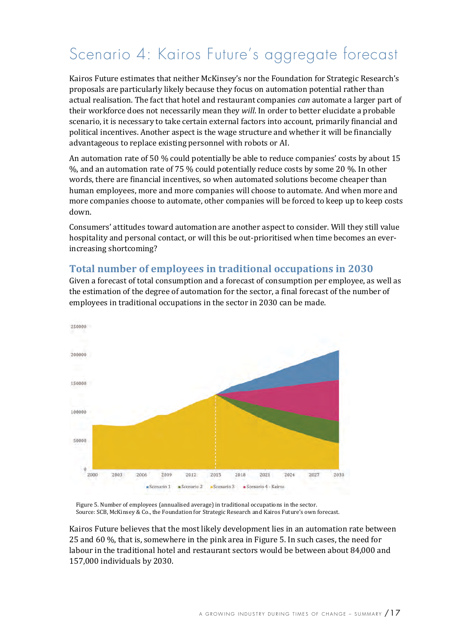### Scenario 4: Kairos Future's aggregate forecast

Kairos Future estimates that neither McKinsey's nor the Foundation for Strategic Research's proposals are particularly likely because they focus on automation potential rather than actual realisation. The fact that hotel and restaurant companies *can* automate a larger part of their workforce does not necessarily mean they *will*. In order to better elucidate a probable scenario, it is necessary to take certain external factors into account, primarily financial and political incentives. Another aspect is the wage structure and whether it will be financially advantageous to replace existing personnel with robots or AI.

An automation rate of 50  $%$  could potentially be able to reduce companies' costs by about 15 %, and an automation rate of 75 % could potentially reduce costs by some 20 %. In other words, there are financial incentives, so when automated solutions become cheaper than human employees, more and more companies will choose to automate. And when more and more companies choose to automate, other companies will be forced to keep up to keep costs down.

Consumers' attitudes toward automation are another aspect to consider. Will they still value hospitality and personal contact, or will this be out-prioritised when time becomes an everincreasing shortcoming?

#### **Total number of employees in traditional occupations in 2030**

250000 200000 150000 100000 50000  $\Omega$ 2000 2003 2006 2009 2012 2015 2018 2021 2024 2027 2030 Scenario 1 Scenario 2 Scenario 3 Scenario 4 - Kairos

Given a forecast of total consumption and a forecast of consumption per employee, as well as the estimation of the degree of automation for the sector, a final forecast of the number of employees in traditional occupations in the sector in 2030 can be made.

Figure 5. Number of employees (annualised average) in traditional occupations in the sector. Source: SCB, McKinsey & Co., the Foundation for Strategic Research and Kairos Future's own forecast.

Kairos Future believes that the most likely development lies in an automation rate between 25 and 60 %, that is, somewhere in the pink area in Figure 5. In such cases, the need for labour in the traditional hotel and restaurant sectors would be between about 84,000 and 157,000 individuals by 2030.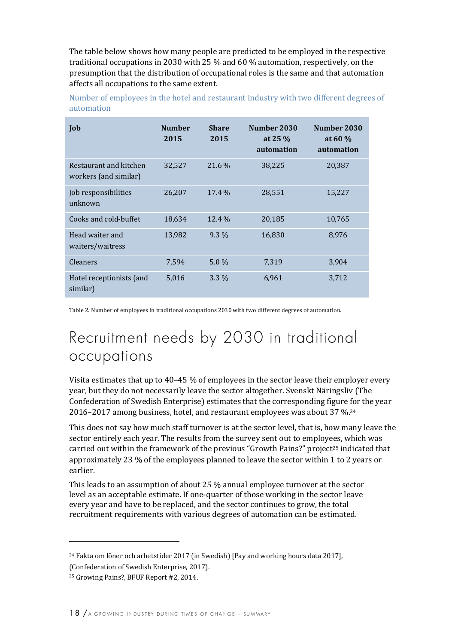The table below shows how many people are predicted to be employed in the respective traditional occupations in 2030 with 25  $\%$  and 60  $\%$  automation, respectively, on the presumption that the distribution of occupational roles is the same and that automation affects all occupations to the same extent.

| Number of employees in the hotel and restaurant industry with two different degrees of |  |  |
|----------------------------------------------------------------------------------------|--|--|
| automation                                                                             |  |  |

| Job                                             | <b>Number</b><br>2015 | <b>Share</b><br>2015 | Number 2030<br>at $25\%$<br>automation | Number 2030<br>at 60 $\%$<br>automation |
|-------------------------------------------------|-----------------------|----------------------|----------------------------------------|-----------------------------------------|
| Restaurant and kitchen<br>workers (and similar) | 32,527                | $21.6\%$             | 38,225                                 | 20,387                                  |
| Job responsibilities<br>unknown                 | 26,207                | 17.4 %               | 28,551                                 | 15,227                                  |
| Cooks and cold-buffet                           | 18,634                | 12.4 %               | 20,185                                 | 10,765                                  |
| Head waiter and<br>waiters/waitress             | 13,982                | $9.3\%$              | 16,830                                 | 8,976                                   |
| <b>Cleaners</b>                                 | 7,594                 | $5.0\%$              | 7,319                                  | 3,904                                   |
| Hotel receptionists (and<br>similar)            | 5,016                 | $3.3\%$              | 6,961                                  | 3,712                                   |

Table 2. Number of employees in traditional occupations 2030 with two different degrees of automation.

### Recruitment needs by 2030 in traditional occupations

Visita estimates that up to 40-45  $%$  of employees in the sector leave their employer every year, but they do not necessarily leave the sector altogether. Svenskt Näringsliy (The Confederation of Swedish Enterprise) estimates that the corresponding figure for the year 2016-2017 among business, hotel, and restaurant employees was about 37 %.<sup>24</sup>

This does not say how much staff turnover is at the sector level, that is, how many leave the sector entirely each year. The results from the survey sent out to employees, which was carried out within the framework of the previous "Growth Pains?" project<sup>25</sup> indicated that approximately 23 % of the employees planned to leave the sector within 1 to 2 years or earlier. 

This leads to an assumption of about  $25\%$  annual employee turnover at the sector level as an acceptable estimate. If one-quarter of those working in the sector leave every year and have to be replaced, and the sector continues to grow, the total recruitment requirements with various degrees of automation can be estimated.

 $24$  Fakta om löner och arbetstider 2017 (in Swedish) [Pay and working hours data 2017],

<sup>(</sup>Confederation of Swedish Enterprise, 2017).

<sup>&</sup>lt;sup>25</sup> Growing Pains?, BFUF Report #2, 2014.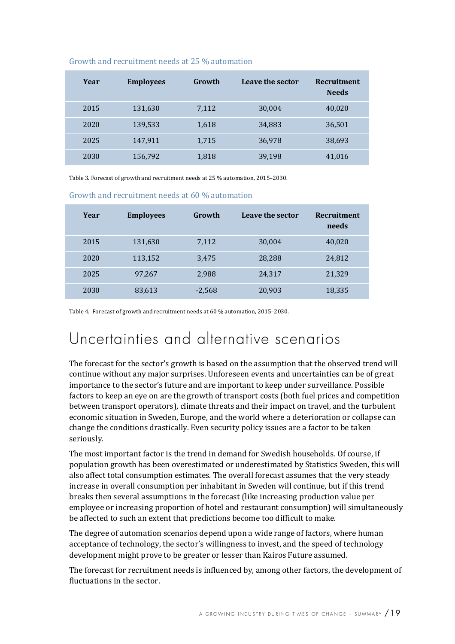| <b>Employees</b> | Growth | Leave the sector | Recruitment<br><b>Needs</b> |
|------------------|--------|------------------|-----------------------------|
| 131,630          | 7,112  | 30,004           | 40,020                      |
| 139,533          | 1,618  | 34,883           | 36,501                      |
| 147,911          | 1,715  | 36,978           | 38,693                      |
| 156,792          | 1,818  | 39,198           | 41,016                      |
|                  |        |                  |                             |

#### Growth and recruitment needs at 25 % automation

Table 3. Forecast of growth and recruitment needs at 25 % automation, 2015-2030.

|  | Growth and recruitment needs at 60 % automation |  |  |
|--|-------------------------------------------------|--|--|
|--|-------------------------------------------------|--|--|

| Year | <b>Employees</b> | Growth   | Leave the sector | <b>Recruitment</b><br>needs |
|------|------------------|----------|------------------|-----------------------------|
| 2015 | 131,630          | 7,112    | 30,004           | 40,020                      |
| 2020 | 113,152          | 3,475    | 28,288           | 24,812                      |
| 2025 | 97,267           | 2,988    | 24,317           | 21,329                      |
| 2030 | 83,613           | $-2,568$ | 20,903           | 18,335                      |

Table 4. Forecast of growth and recruitment needs at 60 % automation, 2015-2030.

### Uncertainties and alternative scenarios

The forecast for the sector's growth is based on the assumption that the observed trend will continue without any major surprises. Unforeseen events and uncertainties can be of great importance to the sector's future and are important to keep under surveillance. Possible factors to keep an eye on are the growth of transport costs (both fuel prices and competition between transport operators), climate threats and their impact on travel, and the turbulent economic situation in Sweden, Europe, and the world where a deterioration or collapse can change the conditions drastically. Even security policy issues are a factor to be taken seriously.

The most important factor is the trend in demand for Swedish households. Of course, if population growth has been overestimated or underestimated by Statistics Sweden, this will also affect total consumption estimates. The overall forecast assumes that the very steady increase in overall consumption per inhabitant in Sweden will continue, but if this trend breaks then several assumptions in the forecast (like increasing production value per employee or increasing proportion of hotel and restaurant consumption) will simultaneously be affected to such an extent that predictions become too difficult to make.

The degree of automation scenarios depend upon a wide range of factors, where human acceptance of technology, the sector's willingness to invest, and the speed of technology development might prove to be greater or lesser than Kairos Future assumed.

The forecast for recruitment needs is influenced by, among other factors, the development of fluctuations in the sector.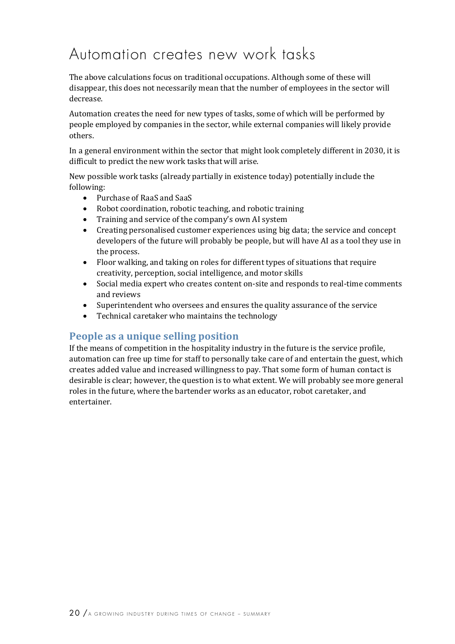### Automation creates new work tasks

The above calculations focus on traditional occupations. Although some of these will disappear, this does not necessarily mean that the number of employees in the sector will decrease.

Automation creates the need for new types of tasks, some of which will be performed by people employed by companies in the sector, while external companies will likely provide others.

In a general environment within the sector that might look completely different in 2030, it is difficult to predict the new work tasks that will arise.

New possible work tasks (already partially in existence today) potentially include the following:

- Purchase of RaaS and SaaS
- Robot coordination, robotic teaching, and robotic training
- Training and service of the company's own AI system
- Creating personalised customer experiences using big data; the service and concept developers of the future will probably be people, but will have AI as a tool they use in the process.
- Floor walking, and taking on roles for different types of situations that require creativity, perception, social intelligence, and motor skills
- Social media expert who creates content on-site and responds to real-time comments and reviews
- Superintendent who oversees and ensures the quality assurance of the service
- Technical caretaker who maintains the technology

#### **People as a unique selling position**

If the means of competition in the hospitality industry in the future is the service profile, automation can free up time for staff to personally take care of and entertain the guest, which creates added value and increased willingness to pay. That some form of human contact is desirable is clear; however, the question is to what extent. We will probably see more general roles in the future, where the bartender works as an educator, robot caretaker, and entertainer.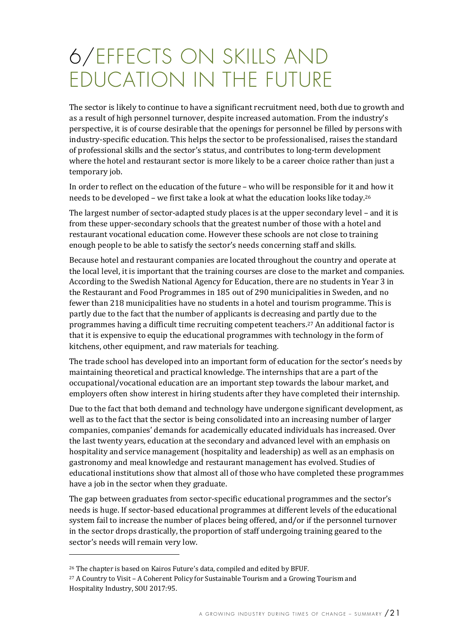# 6/EFFECTS ON SKILLS AND EDUCATION IN THE FUTURE

The sector is likely to continue to have a significant recruitment need, both due to growth and as a result of high personnel turnover, despite increased automation. From the industry's perspective, it is of course desirable that the openings for personnel be filled by persons with industry-specific education. This helps the sector to be professionalised, raises the standard of professional skills and the sector's status, and contributes to long-term development where the hotel and restaurant sector is more likely to be a career choice rather than just a temporary job.

In order to reflect on the education of the future – who will be responsible for it and how it needs to be developed – we first take a look at what the education looks like today.<sup>26</sup>

The largest number of sector-adapted study places is at the upper secondary level - and it is from these upper-secondary schools that the greatest number of those with a hotel and restaurant vocational education come. However these schools are not close to training enough people to be able to satisfy the sector's needs concerning staff and skills.

Because hotel and restaurant companies are located throughout the country and operate at the local level, it is important that the training courses are close to the market and companies. According to the Swedish National Agency for Education, there are no students in Year 3 in the Restaurant and Food Programmes in 185 out of 290 municipalities in Sweden, and no fewer than 218 municipalities have no students in a hotel and tourism programme. This is partly due to the fact that the number of applicants is decreasing and partly due to the programmes having a difficult time recruiting competent teachers.<sup>27</sup> An additional factor is that it is expensive to equip the educational programmes with technology in the form of kitchens, other equipment, and raw materials for teaching.

The trade school has developed into an important form of education for the sector's needs by maintaining theoretical and practical knowledge. The internships that are a part of the occupational/vocational education are an important step towards the labour market, and employers often show interest in hiring students after they have completed their internship.

Due to the fact that both demand and technology have undergone significant development, as well as to the fact that the sector is being consolidated into an increasing number of larger companies, companies' demands for academically educated individuals has increased. Over the last twenty years, education at the secondary and advanced level with an emphasis on hospitality and service management (hospitality and leadership) as well as an emphasis on gastronomy and meal knowledge and restaurant management has evolved. Studies of educational institutions show that almost all of those who have completed these programmes have a job in the sector when they graduate.

The gap between graduates from sector-specific educational programmes and the sector's needs is huge. If sector-based educational programmes at different levels of the educational system fail to increase the number of places being offered, and/or if the personnel turnover in the sector drops drastically, the proportion of staff undergoing training geared to the sector's needs will remain very low.

<sup>&</sup>lt;sup>26</sup> The chapter is based on Kairos Future's data, compiled and edited by BFUF.

 $27$  A Country to Visit – A Coherent Policy for Sustainable Tourism and a Growing Tourism and Hospitality Industry, SOU 2017:95.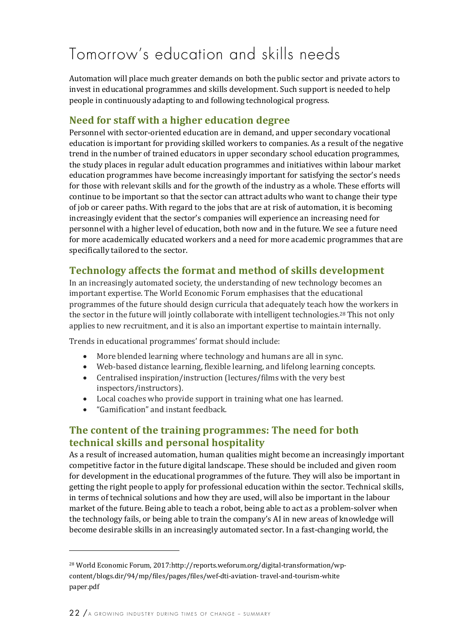### Tomorrow's education and skills needs

Automation will place much greater demands on both the public sector and private actors to invest in educational programmes and skills development. Such support is needed to help people in continuously adapting to and following technological progress.

#### **Need for staff with a higher education degree**

Personnel with sector-oriented education are in demand, and upper secondary vocational education is important for providing skilled workers to companies. As a result of the negative trend in the number of trained educators in upper secondary school education programmes, the study places in regular adult education programmes and initiatives within labour market education programmes have become increasingly important for satisfying the sector's needs for those with relevant skills and for the growth of the industry as a whole. These efforts will continue to be important so that the sector can attract adults who want to change their type of job or career paths. With regard to the jobs that are at risk of automation, it is becoming increasingly evident that the sector's companies will experience an increasing need for personnel with a higher level of education, both now and in the future. We see a future need for more academically educated workers and a need for more academic programmes that are specifically tailored to the sector.

#### **Technology affects the format and method of skills development**

In an increasingly automated society, the understanding of new technology becomes an important expertise. The World Economic Forum emphasises that the educational programmes of the future should design curricula that adequately teach how the workers in the sector in the future will jointly collaborate with intelligent technologies.<sup>28</sup> This not only applies to new recruitment, and it is also an important expertise to maintain internally.

Trends in educational programmes' format should include:

- More blended learning where technology and humans are all in sync.
- Web-based distance learning, flexible learning, and lifelong learning concepts.
- Centralised inspiration/instruction (lectures/films with the very best inspectors/instructors).
- Local coaches who provide support in training what one has learned.
- "Gamification" and instant feedback.

#### **The content of the training programmes: The need for both technical skills and personal hospitality**

As a result of increased automation, human qualities might become an increasingly important competitive factor in the future digital landscape. These should be included and given room for development in the educational programmes of the future. They will also be important in getting the right people to apply for professional education within the sector. Technical skills, in terms of technical solutions and how they are used, will also be important in the labour market of the future. Being able to teach a robot, being able to act as a problem-solver when the technology fails, or being able to train the company's AI in new areas of knowledge will become desirable skills in an increasingly automated sector. In a fast-changing world, the

<sup>&</sup>lt;sup>28</sup> World Economic Forum, 2017:http://reports.weforum.org/digital-transformation/wpcontent/blogs.dir/94/mp/files/pages/files/wef-dti-aviation- travel-and-tourism-white paper.pdf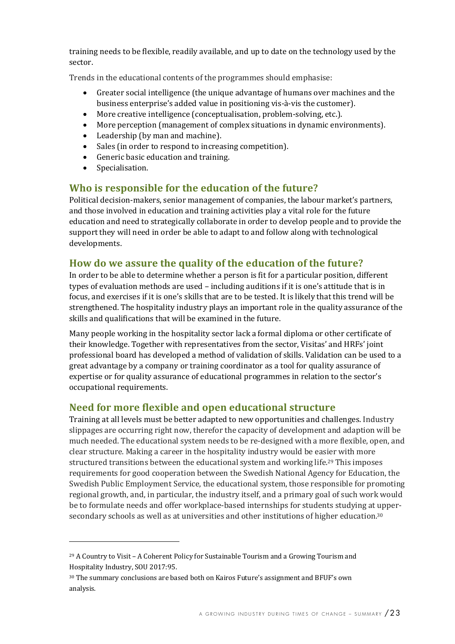training needs to be flexible, readily available, and up to date on the technology used by the sector.

Trends in the educational contents of the programmes should emphasise:

- Greater social intelligence (the unique advantage of humans over machines and the business enterprise's added value in positioning vis-à-vis the customer).
- $\bullet$  More creative intelligence (conceptualisation, problem-solving, etc.).
- More perception (management of complex situations in dynamic environments).
- Leadership (by man and machine).
- Sales (in order to respond to increasing competition).
- Generic basic education and training.
- Specialisation.

 

#### **Who is responsible for the education of the future?**

Political decision-makers, senior management of companies, the labour market's partners, and those involved in education and training activities play a vital role for the future education and need to strategically collaborate in order to develop people and to provide the support they will need in order be able to adapt to and follow along with technological developments. 

#### How do we assure the quality of the education of the future?

In order to be able to determine whether a person is fit for a particular position, different types of evaluation methods are used - including auditions if it is one's attitude that is in focus, and exercises if it is one's skills that are to be tested. It is likely that this trend will be strengthened. The hospitality industry plays an important role in the quality assurance of the skills and qualifications that will be examined in the future.

Many people working in the hospitality sector lack a formal diploma or other certificate of their knowledge. Together with representatives from the sector, Visitas' and HRFs' joint professional board has developed a method of validation of skills. Validation can be used to a great advantage by a company or training coordinator as a tool for quality assurance of expertise or for quality assurance of educational programmes in relation to the sector's occupational requirements.

#### **Need for more flexible and open educational structure**

Training at all levels must be better adapted to new opportunities and challenges. Industry slippages are occurring right now, therefor the capacity of development and adaption will be much needed. The educational system needs to be re-designed with a more flexible, open, and clear structure. Making a career in the hospitality industry would be easier with more structured transitions between the educational system and working life.<sup>29</sup> This imposes requirements for good cooperation between the Swedish National Agency for Education, the Swedish Public Employment Service, the educational system, those responsible for promoting regional growth, and, in particular, the industry itself, and a primary goal of such work would be to formulate needs and offer workplace-based internships for students studying at uppersecondary schools as well as at universities and other institutions of higher education.<sup>30</sup>

 $29$  A Country to Visit - A Coherent Policy for Sustainable Tourism and a Growing Tourism and Hospitality Industry, SOU 2017:95.

<sup>&</sup>lt;sup>30</sup> The summary conclusions are based both on Kairos Future's assignment and BFUF's own analysis.